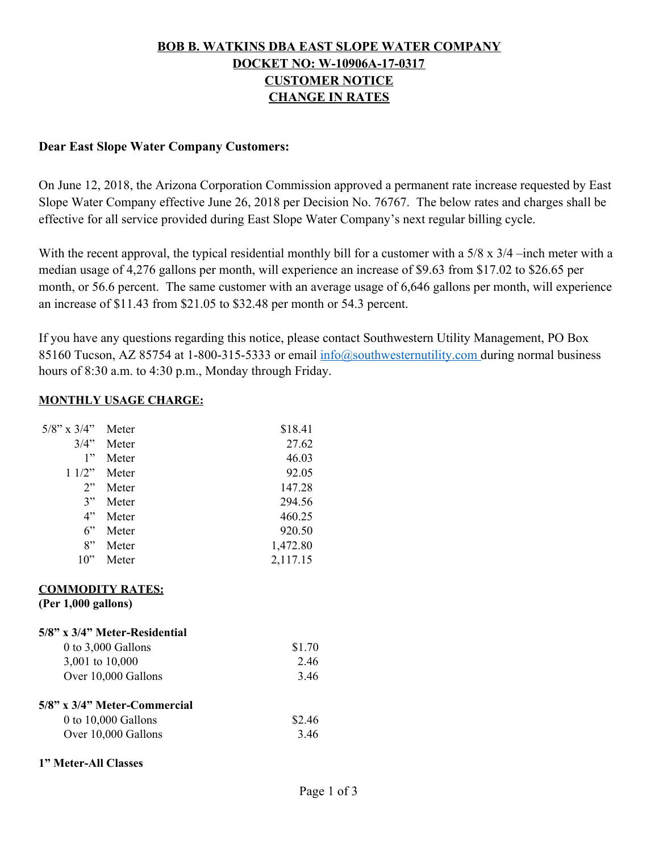## **BOB B. WATKINS DBA EAST SLOPE WATER COMPANY DOCKET NO: W-10906A-17-0317 CUSTOMER NOTICE CHANGE IN RATES**

#### **Dear East Slope Water Company Customers:**

On June 12, 2018, the Arizona Corporation Commission approved a permanent rate increase requested by East Slope Water Company effective June 26, 2018 per Decision No. 76767. The below rates and charges shall be effective for all service provided during East Slope Water Company's next regular billing cycle.

With the recent approval, the typical residential monthly bill for a customer with a 5/8 x 3/4 –inch meter with a median usage of 4,276 gallons per month, will experience an increase of \$9.63 from \$17.02 to \$26.65 per month, or 56.6 percent. The same customer with an average usage of 6,646 gallons per month, will experience an increase of \$11.43 from \$21.05 to \$32.48 per month or 54.3 percent.

If you have any questions regarding this notice, please contact Southwestern Utility Management, PO Box 85160 Tucson, AZ 85754 at 1-800-315-5333 or email  $\frac{info(\partial southwesternutility.com}{info(\partial t)$  during normal business hours of 8:30 a.m. to 4:30 p.m., Monday through Friday.

#### **MONTHLY USAGE CHARGE:**

| $5/8$ " x $3/4$ "                              | Meter                         | \$18.41  |
|------------------------------------------------|-------------------------------|----------|
| 3/4"                                           | Meter                         | 27.62    |
| 1"                                             | Meter                         | 46.03    |
| 11/2"                                          | Meter                         | 92.05    |
| 2"                                             | Meter                         | 147.28   |
| 3"                                             | Meter                         | 294.56   |
| 4"                                             | Meter                         | 460.25   |
| 6"                                             | Meter                         | 920.50   |
| 8"                                             | Meter                         | 1,472.80 |
| 10"                                            | Meter                         | 2,117.15 |
| <b>COMMODITY RATES:</b><br>(Per 1,000 gallons) |                               |          |
|                                                | 5/8" x 3/4" Meter-Residential |          |
| 0 to 3,000 Gallons                             |                               | \$1.70   |
| 3,001 to 10,000                                |                               | 2.46     |
| Over 10,000 Gallons                            |                               | 3.46     |
|                                                | 5/8" x 3/4" Meter-Commercial  |          |
| $0$ to 10,000 Gallons                          |                               | \$2.46   |
| Over 10,000 Gallons                            | 3.46                          |          |
| 1" Meter-All Classes                           |                               |          |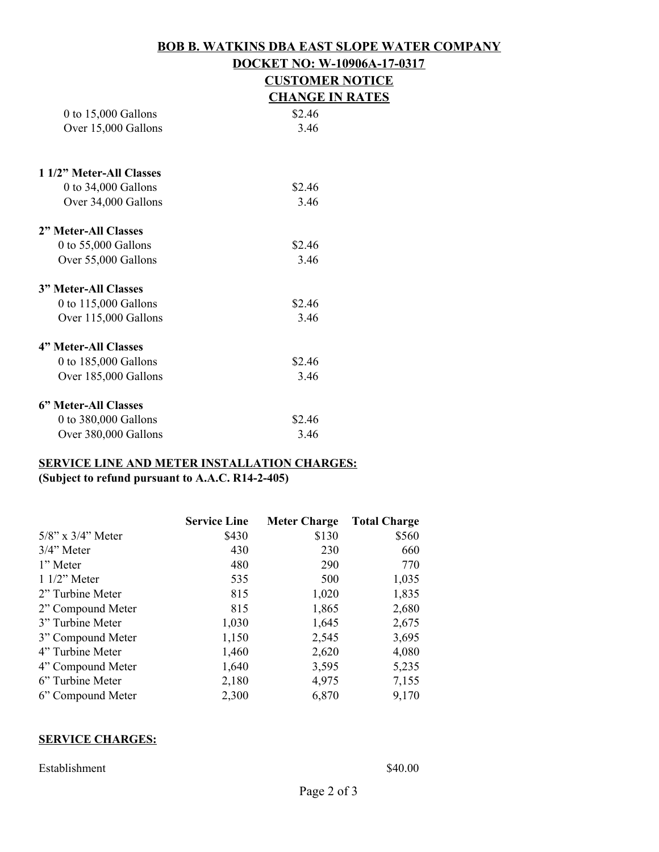## **BOB B. WATKINS DBA EAST SLOPE WATER COMPANY DOCKET NO: W-10906A-17-0317 CUSTOMER NOTICE**

|                             | <b>CHANGE IN RATES</b> |
|-----------------------------|------------------------|
| 0 to $15,000$ Gallons       | \$2.46                 |
| Over 15,000 Gallons         | 3.46                   |
| 1 1/2" Meter-All Classes    |                        |
| 0 to $34,000$ Gallons       | \$2.46                 |
| Over 34,000 Gallons         | 3.46                   |
| 2" Meter-All Classes        |                        |
| 0 to $55,000$ Gallons       | \$2.46                 |
| Over 55,000 Gallons         | 3.46                   |
| <b>3" Meter-All Classes</b> |                        |
| 0 to 115,000 Gallons        | \$2.46                 |
| Over 115,000 Gallons        | 3.46                   |
| 4" Meter-All Classes        |                        |
| 0 to 185,000 Gallons        | \$2.46                 |
| Over 185,000 Gallons        | 3.46                   |
| 6" Meter-All Classes        |                        |
| 0 to 380,000 Gallons        | \$2.46                 |

# **SERVICE LINE AND METER INSTALLATION CHARGES:**

Over 380,000 Gallons 3.46

**(Subject to refund pursuant to A.A.C. R14-2-405)**

|                         | <b>Service Line</b> | <b>Meter Charge</b> | <b>Total Charge</b> |
|-------------------------|---------------------|---------------------|---------------------|
| $5/8$ " x $3/4$ " Meter | \$430               | \$130               | \$560               |
| $3/4$ " Meter           | 430                 | 230                 | 660                 |
| 1" Meter                | 480                 | 290                 | 770                 |
| $11/2$ " Meter          | 535                 | 500                 | 1,035               |
| 2" Turbine Meter        | 815                 | 1,020               | 1,835               |
| 2" Compound Meter       | 815                 | 1,865               | 2,680               |
| 3" Turbine Meter        | 1,030               | 1,645               | 2,675               |
| 3" Compound Meter       | 1,150               | 2,545               | 3,695               |
| 4" Turbine Meter        | 1,460               | 2,620               | 4,080               |
| 4" Compound Meter       | 1,640               | 3,595               | 5,235               |
| 6" Turbine Meter        | 2,180               | 4,975               | 7,155               |
| 6" Compound Meter       | 2,300               | 6,870               | 9,170               |

#### **SERVICE CHARGES:**

Establishment \$40.00